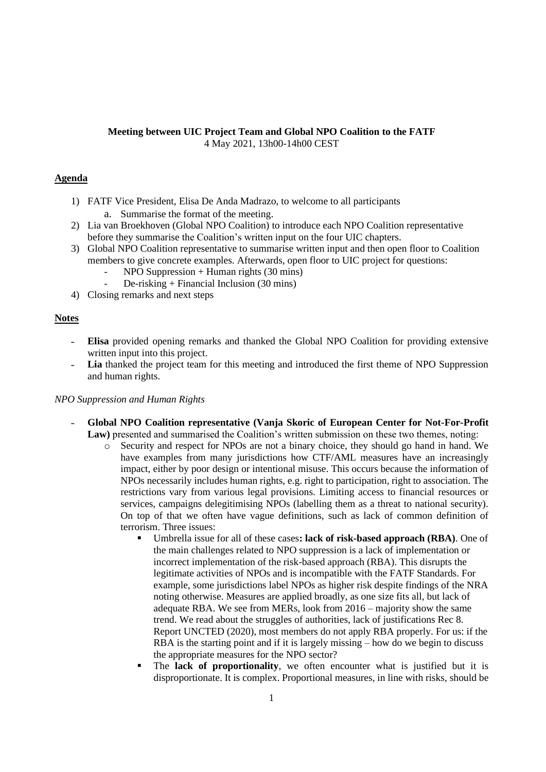# **Meeting between UIC Project Team and Global NPO Coalition to the FATF** 4 May 2021, 13h00-14h00 CEST

## **Agenda**

- 1) FATF Vice President, Elisa De Anda Madrazo, to welcome to all participants
	- a. Summarise the format of the meeting.
- 2) Lia van Broekhoven (Global NPO Coalition) to introduce each NPO Coalition representative before they summarise the Coalition's written input on the four UIC chapters.
- 3) Global NPO Coalition representative to summarise written input and then open floor to Coalition members to give concrete examples. Afterwards, open floor to UIC project for questions:
	- $NPO$  Suppression + Human rights (30 mins)
	- De-risking + Financial Inclusion (30 mins)
- 4) Closing remarks and next steps

## **Notes**

- ˗ **Elisa** provided opening remarks and thanked the Global NPO Coalition for providing extensive written input into this project.
- Lia thanked the project team for this meeting and introduced the first theme of NPO Suppression and human rights.

### *NPO Suppression and Human Rights*

- ˗ **Global NPO Coalition representative (Vanja Skoric of European Center for Not-For-Profit Law)** presented and summarised the Coalition's written submission on these two themes, noting:
	- o Security and respect for NPOs are not a binary choice, they should go hand in hand. We have examples from many jurisdictions how CTF/AML measures have an increasingly impact, either by poor design or intentional misuse. This occurs because the information of NPOs necessarily includes human rights, e.g. right to participation, right to association. The restrictions vary from various legal provisions. Limiting access to financial resources or services, campaigns delegitimising NPOs (labelling them as a threat to national security). On top of that we often have vague definitions, such as lack of common definition of terrorism. Three issues:
		- Umbrella issue for all of these cases: lack of risk-based approach (RBA). One of the main challenges related to NPO suppression is a lack of implementation or incorrect implementation of the risk-based approach (RBA). This disrupts the legitimate activities of NPOs and is incompatible with the FATF Standards. For example, some jurisdictions label NPOs as higher risk despite findings of the NRA noting otherwise. Measures are applied broadly, as one size fits all, but lack of adequate RBA. We see from MERs, look from 2016 – majority show the same trend. We read about the struggles of authorities, lack of justifications Rec 8. Report UNCTED (2020), most members do not apply RBA properly. For us: if the RBA is the starting point and if it is largely missing – how do we begin to discuss the appropriate measures for the NPO sector?
		- The **lack of proportionality**, we often encounter what is justified but it is disproportionate. It is complex. Proportional measures, in line with risks, should be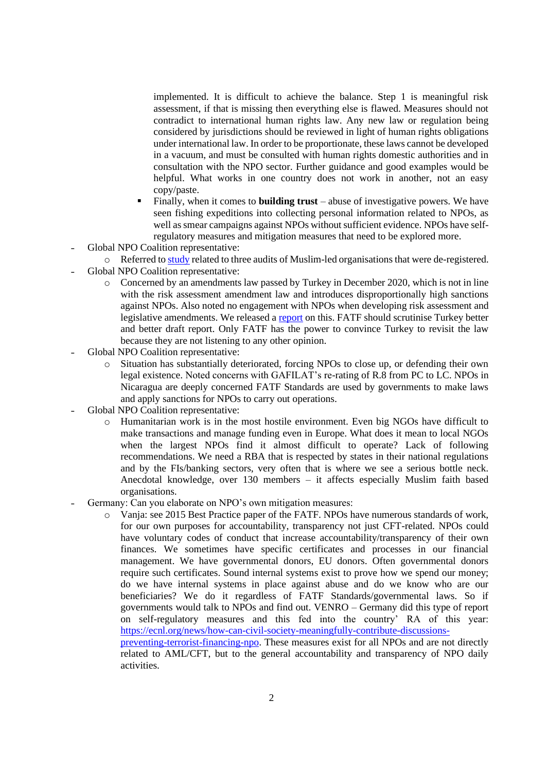implemented. It is difficult to achieve the balance. Step 1 is meaningful risk assessment, if that is missing then everything else is flawed. Measures should not contradict to international human rights law. Any new law or regulation being considered by jurisdictions should be reviewed in light of human rights obligations under international law. In order to be proportionate, these laws cannot be developed in a vacuum, and must be consulted with human rights domestic authorities and in consultation with the NPO sector. Further guidance and good examples would be helpful. What works in one country does not work in another, not an easy copy/paste.

- Finally, when it comes to **building trust** abuse of investigative powers. We have seen fishing expeditions into collecting personal information related to NPOs, as well as smear campaigns against NPOs without sufficient evidence. NPOs have selfregulatory measures and mitigation measures that need to be explored more.
- ˗ Global NPO Coalition representative:
	- $\circ$  Referred to [study](http://www.layeredsuspicion.ca/) related to three audits of Muslim-led organisations that were de-registered.
- ˗ Global NPO Coalition representative:
	- o Concerned by an amendments law passed by Turkey in December 2020, which is not in line with the risk assessment amendment law and introduces disproportionally high sanctions against NPOs. Also noted no engagement with NPOs when developing risk assessment and legislative amendments. We released a [report](https://tusev.org.tr/usrfiles/images/MaliEylemGorevGucuSivilToplumEN_26022021.pdf) on this. FATF should scrutinise Turkey better and better draft report. Only FATF has the power to convince Turkey to revisit the law because they are not listening to any other opinion.
- ˗ Global NPO Coalition representative:
	- o Situation has substantially deteriorated, forcing NPOs to close up, or defending their own legal existence. Noted concerns with GAFILAT's re-rating of R.8 from PC to LC. NPOs in Nicaragua are deeply concerned FATF Standards are used by governments to make laws and apply sanctions for NPOs to carry out operations.
- ˗ Global NPO Coalition representative:
	- o Humanitarian work is in the most hostile environment. Even big NGOs have difficult to make transactions and manage funding even in Europe. What does it mean to local NGOs when the largest NPOs find it almost difficult to operate? Lack of following recommendations. We need a RBA that is respected by states in their national regulations and by the FIs/banking sectors, very often that is where we see a serious bottle neck. Anecdotal knowledge, over 130 members – it affects especially Muslim faith based organisations.
- Germany: Can you elaborate on NPO's own mitigation measures:
	- o Vanja: see 2015 Best Practice paper of the FATF. NPOs have numerous standards of work, for our own purposes for accountability, transparency not just CFT-related. NPOs could have voluntary codes of conduct that increase accountability/transparency of their own finances. We sometimes have specific certificates and processes in our financial management. We have governmental donors, EU donors. Often governmental donors require such certificates. Sound internal systems exist to prove how we spend our money; do we have internal systems in place against abuse and do we know who are our beneficiaries? We do it regardless of FATF Standards/governmental laws. So if governments would talk to NPOs and find out. VENRO – Germany did this type of report on self-regulatory measures and this fed into the country' RA of this year: [https://ecnl.org/news/how-can-civil-society-meaningfully-contribute-discussions-](https://ecnl.org/news/how-can-civil-society-meaningfully-contribute-discussions-preventing-terrorist-financing-npo)

[preventing-terrorist-financing-npo.](https://ecnl.org/news/how-can-civil-society-meaningfully-contribute-discussions-preventing-terrorist-financing-npo) These measures exist for all NPOs and are not directly related to AML/CFT, but to the general accountability and transparency of NPO daily activities.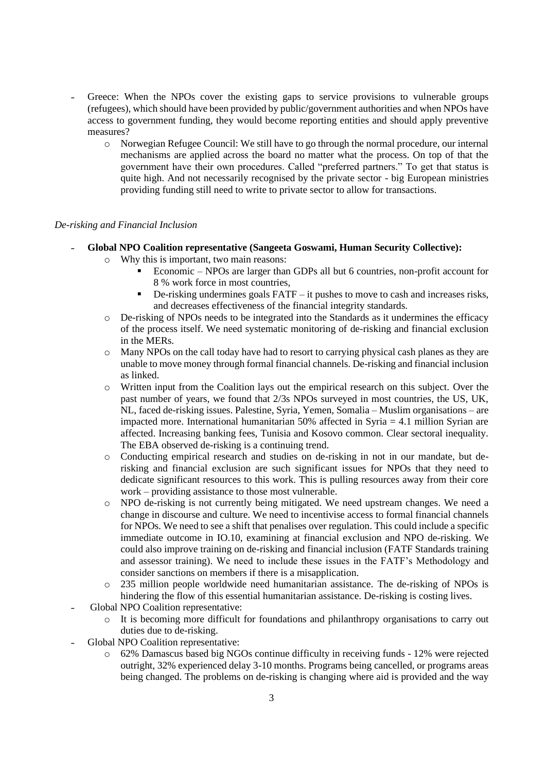- ˗ Greece: When the NPOs cover the existing gaps to service provisions to vulnerable groups (refugees), which should have been provided by public/government authorities and when NPOs have access to government funding, they would become reporting entities and should apply preventive measures?
	- o Norwegian Refugee Council: We still have to go through the normal procedure, our internal mechanisms are applied across the board no matter what the process. On top of that the government have their own procedures. Called "preferred partners." To get that status is quite high. And not necessarily recognised by the private sector - big European ministries providing funding still need to write to private sector to allow for transactions.

## *De-risking and Financial Inclusion*

- ˗ **Global NPO Coalition representative (Sangeeta Goswami, Human Security Collective):**
	- Why this is important, two main reasons:
		- Economic NPOs are larger than GDPs all but 6 countries, non-profit account for 8 % work force in most countries,
		- $\blacksquare$  De-risking undermines goals  $\text{FATF} \text{it}$  pushes to move to cash and increases risks, and decreases effectiveness of the financial integrity standards.
		- o De-risking of NPOs needs to be integrated into the Standards as it undermines the efficacy of the process itself. We need systematic monitoring of de-risking and financial exclusion in the MERs.
		- o Many NPOs on the call today have had to resort to carrying physical cash planes as they are unable to move money through formal financial channels. De-risking and financial inclusion as linked.
		- o Written input from the Coalition lays out the empirical research on this subject. Over the past number of years, we found that 2/3s NPOs surveyed in most countries, the US, UK, NL, faced de-risking issues. Palestine, Syria, Yemen, Somalia – Muslim organisations – are impacted more. International humanitarian 50% affected in Syria = 4.1 million Syrian are affected. Increasing banking fees, Tunisia and Kosovo common. Clear sectoral inequality. The EBA observed de-risking is a continuing trend.
		- o Conducting empirical research and studies on de-risking in not in our mandate, but derisking and financial exclusion are such significant issues for NPOs that they need to dedicate significant resources to this work. This is pulling resources away from their core work – providing assistance to those most vulnerable.
		- o NPO de-risking is not currently being mitigated. We need upstream changes. We need a change in discourse and culture. We need to incentivise access to formal financial channels for NPOs. We need to see a shift that penalises over regulation. This could include a specific immediate outcome in IO.10, examining at financial exclusion and NPO de-risking. We could also improve training on de-risking and financial inclusion (FATF Standards training and assessor training). We need to include these issues in the FATF's Methodology and consider sanctions on members if there is a misapplication.
		- o 235 million people worldwide need humanitarian assistance. The de-risking of NPOs is hindering the flow of this essential humanitarian assistance. De-risking is costing lives.
	- ˗ Global NPO Coalition representative:
		- o It is becoming more difficult for foundations and philanthropy organisations to carry out duties due to de-risking.
- ˗ Global NPO Coalition representative:
	- o 62% Damascus based big NGOs continue difficulty in receiving funds 12% were rejected outright, 32% experienced delay 3-10 months. Programs being cancelled, or programs areas being changed. The problems on de-risking is changing where aid is provided and the way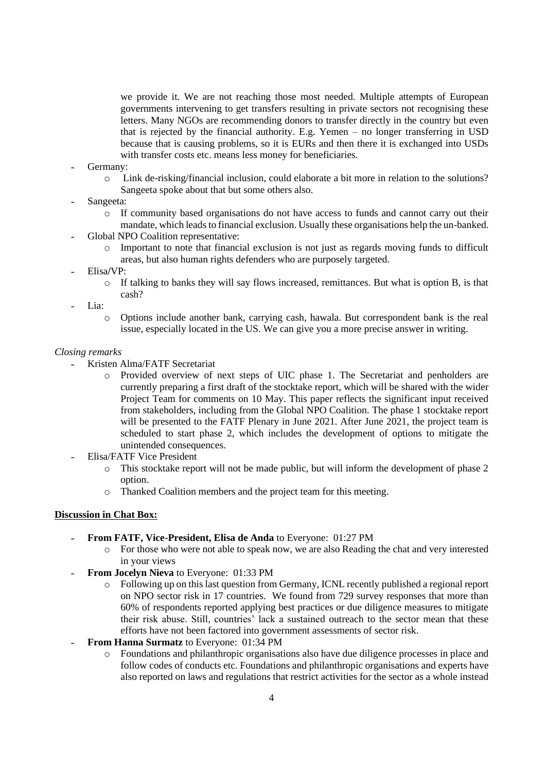we provide it. We are not reaching those most needed. Multiple attempts of European governments intervening to get transfers resulting in private sectors not recognising these letters. Many NGOs are recommending donors to transfer directly in the country but even that is rejected by the financial authority. E.g. Yemen – no longer transferring in USD because that is causing problems, so it is EURs and then there it is exchanged into USDs with transfer costs etc. means less money for beneficiaries.

- Germany:
	- o Link de-risking/financial inclusion, could elaborate a bit more in relation to the solutions? Sangeeta spoke about that but some others also.
- Sangeeta:
	- o If community based organisations do not have access to funds and cannot carry out their mandate, which leads to financial exclusion. Usually these organisations help the un-banked.
- ˗ Global NPO Coalition representative:
	- $\circ$  Important to note that financial exclusion is not just as regards moving funds to difficult areas, but also human rights defenders who are purposely targeted.
- ˗ Elisa**/**VP:
	- o If talking to banks they will say flows increased, remittances. But what is option B, is that cash?
- Lia:
	- o Options include another bank, carrying cash, hawala. But correspondent bank is the real issue, especially located in the US. We can give you a more precise answer in writing.

### *Closing remarks*

- ˗ Kristen Alma/FATF Secretariat
	- o Provided overview of next steps of UIC phase 1. The Secretariat and penholders are currently preparing a first draft of the stocktake report, which will be shared with the wider Project Team for comments on 10 May. This paper reflects the significant input received from stakeholders, including from the Global NPO Coalition. The phase 1 stocktake report will be presented to the FATF Plenary in June 2021. After June 2021, the project team is scheduled to start phase 2, which includes the development of options to mitigate the unintended consequences.
- ˗ Elisa/FATF Vice President
	- o This stocktake report will not be made public, but will inform the development of phase 2 option.
	- o Thanked Coalition members and the project team for this meeting.

### **Discussion in Chat Box:**

- ˗ **From FATF, Vice-President, Elisa de Anda** to Everyone: 01:27 PM
	- o For those who were not able to speak now, we are also Reading the chat and very interested in your views
- ˗ **From Jocelyn Nieva** to Everyone: 01:33 PM
	- o Following up on this last question from Germany, ICNL recently published a regional report on NPO sector risk in 17 countries. We found from 729 survey responses that more than 60% of respondents reported applying best practices or due diligence measures to mitigate their risk abuse. Still, countries' lack a sustained outreach to the sector mean that these efforts have not been factored into government assessments of sector risk.
- ˗ **From Hanna Surmatz** to Everyone: 01:34 PM
	- o Foundations and philanthropic organisations also have due diligence processes in place and follow codes of conducts etc. Foundations and philanthropic organisations and experts have also reported on laws and regulations that restrict activities for the sector as a whole instead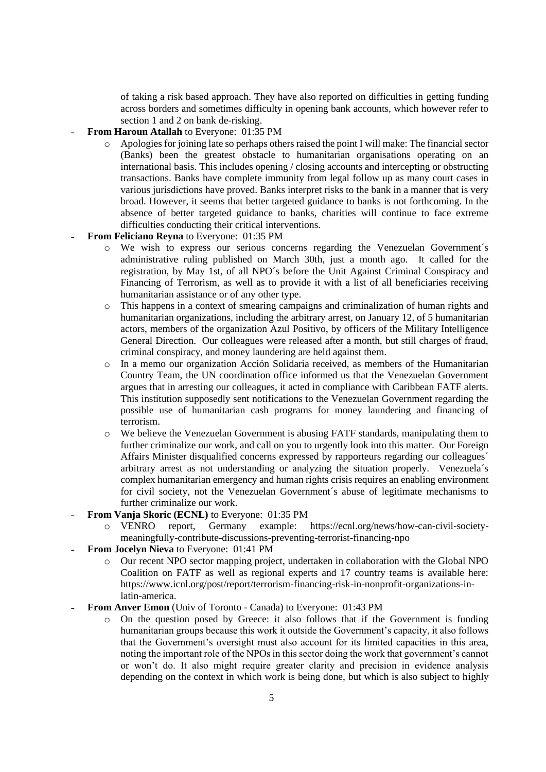of taking a risk based approach. They have also reported on difficulties in getting funding across borders and sometimes difficulty in opening bank accounts, which however refer to section 1 and 2 on bank de-risking.

- ˗ **From Haroun Atallah** to Everyone: 01:35 PM
	- o Apologies for joining late so perhaps others raised the point I will make: The financial sector (Banks) been the greatest obstacle to humanitarian organisations operating on an international basis. This includes opening / closing accounts and intercepting or obstructing transactions. Banks have complete immunity from legal follow up as many court cases in various jurisdictions have proved. Banks interpret risks to the bank in a manner that is very broad. However, it seems that better targeted guidance to banks is not forthcoming. In the absence of better targeted guidance to banks, charities will continue to face extreme difficulties conducting their critical interventions.
- ˗ **From Feliciano Reyna** to Everyone: 01:35 PM
	- o We wish to express our serious concerns regarding the Venezuelan Government´s administrative ruling published on March 30th, just a month ago. It called for the registration, by May 1st, of all NPO´s before the Unit Against Criminal Conspiracy and Financing of Terrorism, as well as to provide it with a list of all beneficiaries receiving humanitarian assistance or of any other type.
	- o This happens in a context of smearing campaigns and criminalization of human rights and humanitarian organizations, including the arbitrary arrest, on January 12, of 5 humanitarian actors, members of the organization Azul Positivo, by officers of the Military Intelligence General Direction. Our colleagues were released after a month, but still charges of fraud, criminal conspiracy, and money laundering are held against them.
	- o In a memo our organization Acción Solidaria received, as members of the Humanitarian Country Team, the UN coordination office informed us that the Venezuelan Government argues that in arresting our colleagues, it acted in compliance with Caribbean FATF alerts. This institution supposedly sent notifications to the Venezuelan Government regarding the possible use of humanitarian cash programs for money laundering and financing of terrorism.
	- o We believe the Venezuelan Government is abusing FATF standards, manipulating them to further criminalize our work, and call on you to urgently look into this matter. Our Foreign Affairs Minister disqualified concerns expressed by rapporteurs regarding our colleagues´ arbitrary arrest as not understanding or analyzing the situation properly. Venezuela´s complex humanitarian emergency and human rights crisis requires an enabling environment for civil society, not the Venezuelan Government´s abuse of legitimate mechanisms to further criminalize our work.
- From Vanja Skoric (ECNL) to Everyone: 01:35 PM
	- o VENRO report, Germany example: https://ecnl.org/news/how-can-civil-societymeaningfully-contribute-discussions-preventing-terrorist-financing-npo
- ˗ **From Jocelyn Nieva** to Everyone: 01:41 PM
	- o Our recent NPO sector mapping project, undertaken in collaboration with the Global NPO Coalition on FATF as well as regional experts and 17 country teams is available here: https://www.icnl.org/post/report/terrorism-financing-risk-in-nonprofit-organizations-inlatin-america.
- **From Anver Emon** (Univ of Toronto Canada) to Everyone: 01:43 PM
	- o On the question posed by Greece: it also follows that if the Government is funding humanitarian groups because this work it outside the Government's capacity, it also follows that the Government's oversight must also account for its limited capacities in this area, noting the important role of the NPOs in this sector doing the work that government's cannot or won't do. It also might require greater clarity and precision in evidence analysis depending on the context in which work is being done, but which is also subject to highly